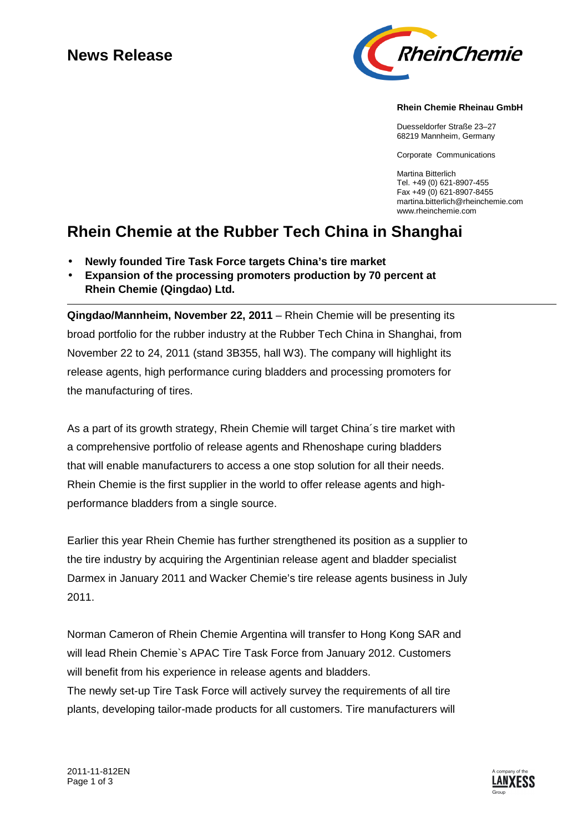## **News Release**



### **Rhein Chemie Rheinau GmbH**

Duesseldorfer Straße 23–27 68219 Mannheim, Germany

Corporate Communications

Martina Bitterlich Tel. +49 (0) 621-8907-455 Fax +49 (0) 621-8907-8455 martina.bitterlich@rheinchemie.com www.rheinchemie.com

# **Rhein Chemie at the Rubber Tech China in Shanghai**

- **Newly founded Tire Task Force targets China's tire market**
- **Expansion of the processing promoters production by 70 percent at Rhein Chemie (Qingdao) Ltd.**

**Qingdao/Mannheim, November 22, 2011** – Rhein Chemie will be presenting its broad portfolio for the rubber industry at the Rubber Tech China in Shanghai, from November 22 to 24, 2011 (stand 3B355, hall W3). The company will highlight its release agents, high performance curing bladders and processing promoters for the manufacturing of tires.

As a part of its growth strategy, Rhein Chemie will target China´s tire market with a comprehensive portfolio of release agents and Rhenoshape curing bladders that will enable manufacturers to access a one stop solution for all their needs. Rhein Chemie is the first supplier in the world to offer release agents and highperformance bladders from a single source.

Earlier this year Rhein Chemie has further strengthened its position as a supplier to the tire industry by acquiring the Argentinian release agent and bladder specialist Darmex in January 2011 and Wacker Chemie's tire release agents business in July 2011.

Norman Cameron of Rhein Chemie Argentina will transfer to Hong Kong SAR and will lead Rhein Chemie`s APAC Tire Task Force from January 2012. Customers will benefit from his experience in release agents and bladders. The newly set-up Tire Task Force will actively survey the requirements of all tire plants, developing tailor-made products for all customers. Tire manufacturers will

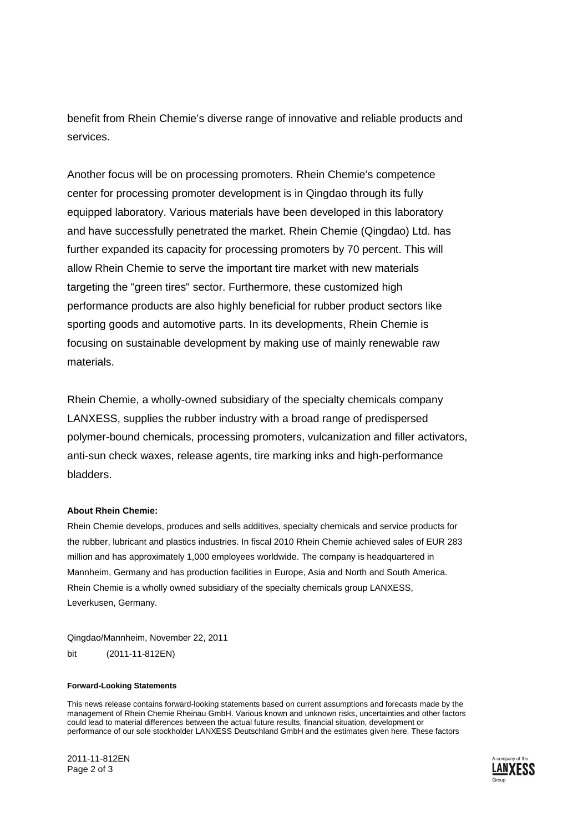benefit from Rhein Chemie's diverse range of innovative and reliable products and services.

Another focus will be on processing promoters. Rhein Chemie's competence center for processing promoter development is in Qingdao through its fully equipped laboratory. Various materials have been developed in this laboratory and have successfully penetrated the market. Rhein Chemie (Qingdao) Ltd. has further expanded its capacity for processing promoters by 70 percent. This will allow Rhein Chemie to serve the important tire market with new materials targeting the "green tires" sector. Furthermore, these customized high performance products are also highly beneficial for rubber product sectors like sporting goods and automotive parts. In its developments, Rhein Chemie is focusing on sustainable development by making use of mainly renewable raw materials.

Rhein Chemie, a wholly-owned subsidiary of the specialty chemicals company LANXESS, supplies the rubber industry with a broad range of predispersed polymer-bound chemicals, processing promoters, vulcanization and filler activators, anti-sun check waxes, release agents, tire marking inks and high-performance bladders.

### **About Rhein Chemie:**

Rhein Chemie develops, produces and sells additives, specialty chemicals and service products for the rubber, lubricant and plastics industries. In fiscal 2010 Rhein Chemie achieved sales of EUR 283 million and has approximately 1,000 employees worldwide. The company is headquartered in Mannheim, Germany and has production facilities in Europe, Asia and North and South America. Rhein Chemie is a wholly owned subsidiary of the specialty chemicals group LANXESS, Leverkusen, Germany.

Qingdao/Mannheim, November 22, 2011

bit (2011-11-812EN)

#### **Forward-Looking Statements**

This news release contains forward-looking statements based on current assumptions and forecasts made by the management of Rhein Chemie Rheinau GmbH. Various known and unknown risks, uncertainties and other factors could lead to material differences between the actual future results, financial situation, development or performance of our sole stockholder LANXESS Deutschland GmbH and the estimates given here. These factors

2011-11-812EN Page 2 of 3